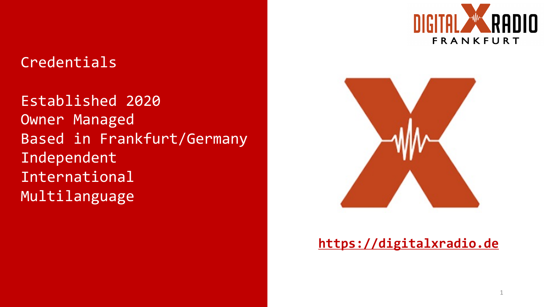### Credentials

Established 2020 Owner Managed Based in Frankfurt/Germany Independent International Multilanguage



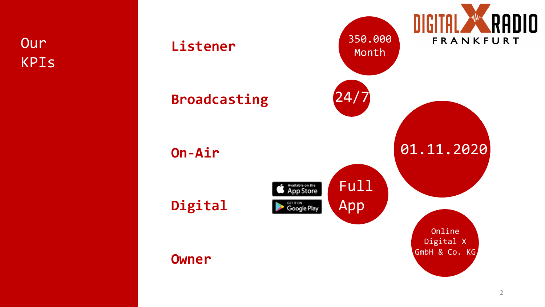**Our** KPIs

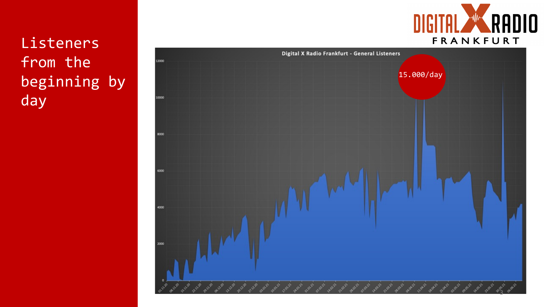Listeners from the beginning by day



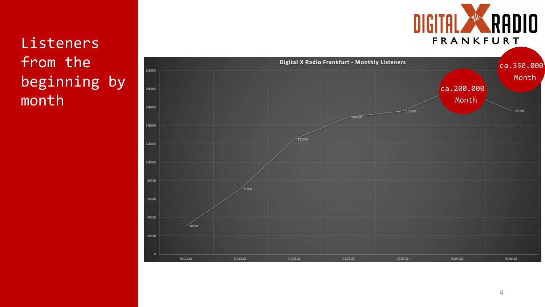# Listeners from the beginning by month



DIGITAL WARADIO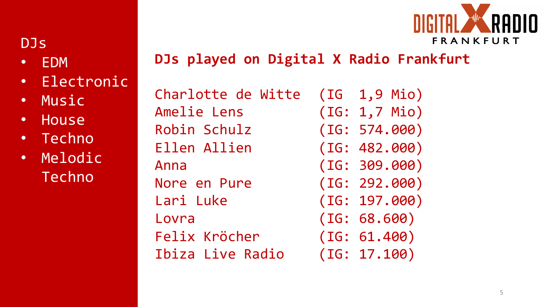

## DJs

- EDM
- Electronic
- Music
- House
- Techno
- Melodic Techno

**DJs played on Digital X Radio Frankfurt**

Charlotte de Witte (IG 1,9 Mio) Amelie Lens (IG: 1,7 Mio) Robin Schulz (IG: 574.000) Ellen Allien (IG: 482.000) Anna (IG: 309.000) Nore en Pure (IG: 292.000) Lari Luke (IG: 197.000) Lovra (IG: 68.600) Felix Kröcher (IG: 61.400) Ibiza Live Radio (IG: 17.100)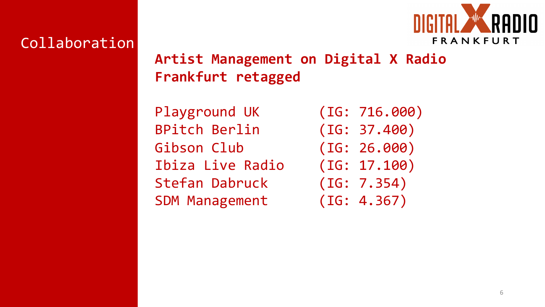

### Collaboration

## **Artist Management on Digital X Radio Frankfurt retagged**

Playground UK (IG: 716.000) BPitch Berlin (IG: 37.400) Gibson Club (IG: 26.000) Ibiza Live Radio (IG: 17.100) Stefan Dabruck (IG: 7.354) SDM Management (IG: 4.367)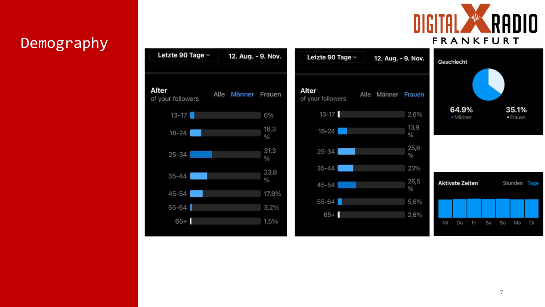

# Demography

| Letzte 90 Tage $\vee$      | 12. Aug. - 9. Nov. |              | Letzte 90 Tage $\vee$      | 12. Aug. - 9. Nov.    | Geschlecht             |                   |    |    |                   |    |
|----------------------------|--------------------|--------------|----------------------------|-----------------------|------------------------|-------------------|----|----|-------------------|----|
| Alter<br>of your followers | Alle Männer Frauen |              | Alter<br>of your followers | Alle Männer Frauen    |                        |                   |    |    |                   |    |
| $13-17$                    |                    | 6%           | $13 - 17$                  | 2,6%                  |                        | 64.9%<br>· Männer |    |    | 35.1%<br>· Frauen |    |
| $18 - 24$                  |                    | 16,3<br>$\%$ | $18-24$                    | 13,9<br>$\%$          |                        |                   |    |    |                   |    |
| $25 - 34$                  |                    | 31,3<br>$\%$ | $25 - 34$                  | 25,6<br>$\frac{0}{0}$ |                        |                   |    |    |                   |    |
|                            |                    | 23,8         | $35 - 44$                  | 23%                   |                        |                   |    |    |                   |    |
| $35 - 44$                  |                    | $\%$         | $45 - 54$                  | 26,5<br>$\%$          | <b>Aktivste Zeiten</b> |                   |    |    | Stunden Tag       |    |
| $45 - 54$                  |                    | 17,8%        | $55 - 64$                  |                       |                        |                   |    |    |                   |    |
| $55 - 64$                  |                    | 3,2%         |                            | 5,6%                  |                        |                   |    |    |                   |    |
| $65+$                      |                    | 1,5%         | $65+$                      | 2,6%                  | Mi<br>Do               | Fr                | Sa | So | Mo                | Di |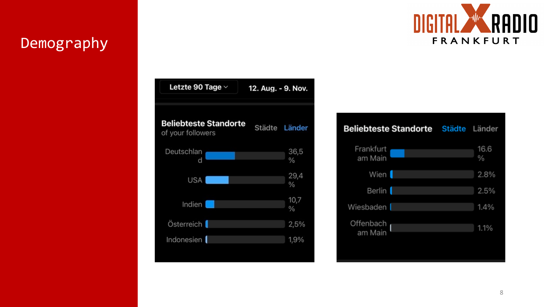### Demography



| Letzte 90 Tage $\vee$                             | 12. Aug. - 9. Nov. |              |  |  |  |
|---------------------------------------------------|--------------------|--------------|--|--|--|
|                                                   |                    |              |  |  |  |
| <b>Beliebteste Standorte</b><br>of your followers | Städte Länder      |              |  |  |  |
| Deutschlan<br>d                                   |                    | 36,5<br>%    |  |  |  |
| <b>USA</b>                                        |                    | 29,4<br>$\%$ |  |  |  |
| Indien                                            |                    | 10,7<br>$\%$ |  |  |  |
| Österreich                                        |                    | 2,5%         |  |  |  |
| Indonesien                                        |                    | 1,9%         |  |  |  |

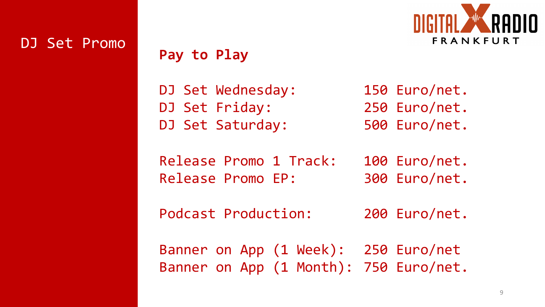

#### DJ Set Promo

#### **Pay to Play**

DJ Set Wednesday: 150 Euro/net. DJ Set Friday: 250 Euro/net. DJ Set Saturday: 500 Euro/net.

Release Promo 1 Track: 100 Euro/net. Release Promo EP: 300 Euro/net.

Podcast Production: 200 Euro/net.

Banner on App (1 Week): 250 Euro/net Banner on App (1 Month): 750 Euro/net.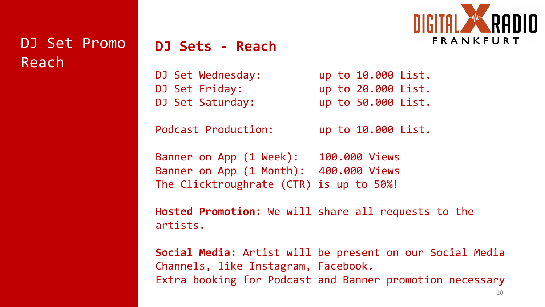

DJ Set Promo Reach

#### **DJ Sets - Reach**

- DJ Set Wednesday: The up to 10.000 List.
- 
- DJ Set Saturday: up to 50.000 List.

DJ Set Friday: up to 20.000 List.

Podcast Production: up to 10.000 List.

Banner on App (1 Week): 100.000 Views Banner on App (1 Month): 400.000 Views The Clicktroughrate (CTR) is up to 50%!

**Hosted Promotion:** We will share all requests to the artists.

**Social Media:** Artist will be present on our Social Media Channels, like Instagram, Facebook. Extra booking for Podcast and Banner promotion necessary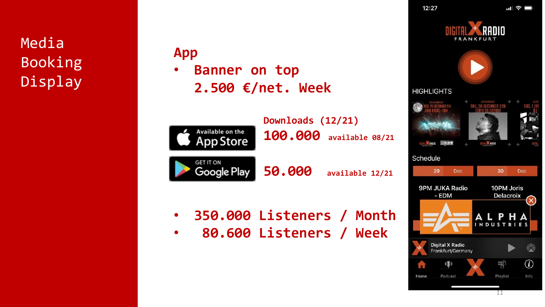Media Booking Display

#### **App**

• **Banner on top 2.500 €/net. Week**



- **350.000 Listeners / Month**
- **80.600 Listeners / Week**

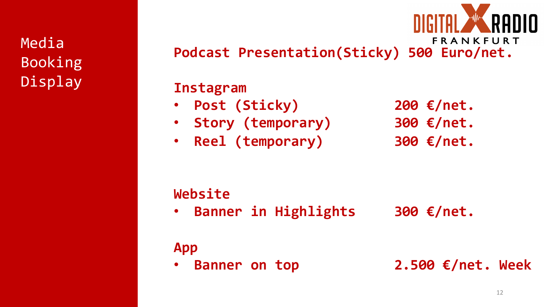Media Booking Display

FRANKFURT **Podcast Presentation(Sticky) 500 Euro/net.**

#### **Instagram**

- **Post (Sticky) 200 €/net.**
- **Story (temporary) 300 €/net.**
- **Reel (temporary) 300 €/net.**
- 

### **Website**

• **Banner in Highlights 300 €/net.**

# **App**

• **Banner on top 2.500 €/net. Week**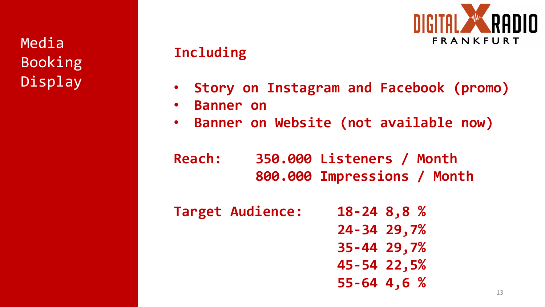Media Booking Display

### **Including**



- **Story on Instagram and Facebook (promo)**
- **Banner on**
- **Banner on Website (not available now)**
- **Reach: 350.000 Listeners / Month 800.000 Impressions / Month**
- **Target Audience: 18-24 8,8 % 24-34 29,7% 35-44 29,7% 45-54 22,5% 55-64 4,6 %**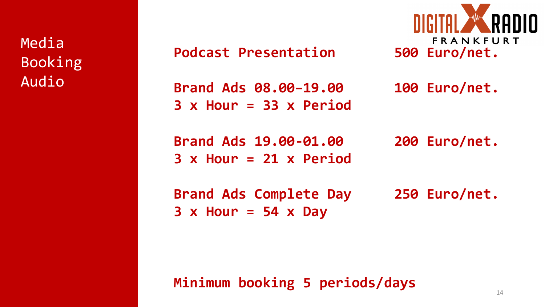Media Booking Audio

**Podcast Presentation 500 Euro/net.**

**Brand Ads 08.00–19.00 100 Euro/net. 3 x Hour = 33 x Period**

**Brand Ads 19.00-01.00 200 Euro/net. 3 x Hour = 21 x Period**

**3 x Hour = 54 x Day**

**FRANKFURT** 

**Brand Ads Complete Day 250 Euro/net.**

**Minimum booking 5 periods/days**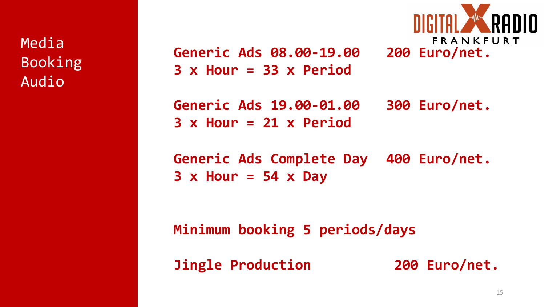Media Booking Audio

**Generic Ads 08.00-19.00 200 Euro/net. 3 x Hour = 33 x Period**



**Generic Ads 19.00-01.00 300 Euro/net. 3 x Hour = 21 x Period**

**Generic Ads Complete Day 400 Euro/net. 3 x Hour = 54 x Day**

**Minimum booking 5 periods/days**

**Jingle Production 200 Euro/net.**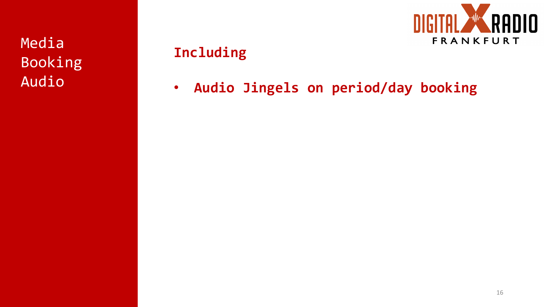Media Booking Audio



# **Including**

• **Audio Jingels on period/day booking**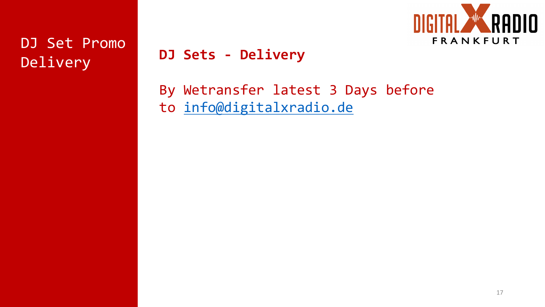# DJ Set Promo Delivery

**DJ Sets - Delivery**

By Wetransfer latest 3 D to info@digitalxradio.de